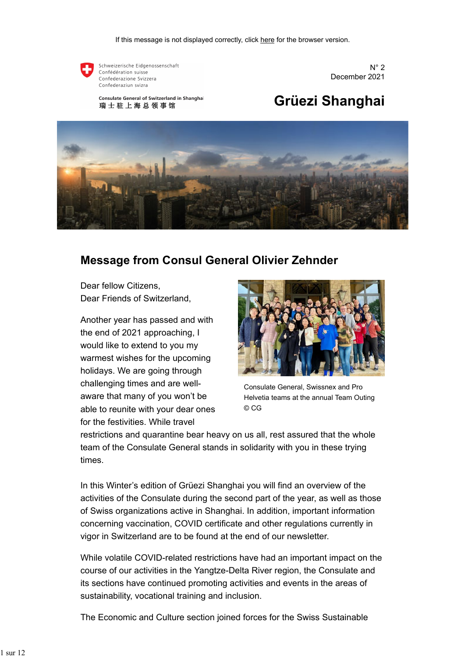

Schweizerische Eidgenossenschaft Confédération suisse Confederazione Svizzera Confederaziun svizra

 $N^{\circ}$  2 December 2021

# **Grüezi Shanghai**

**Consulate General of Switzerland in Shanghai** 瑞士驻上海总领事馆



## **Message from Consul General Olivier Zehnder**

Dear fellow Citizens, Dear Friends of Switzerland,

Another year has passed and with the end of 2021 approaching, I would like to extend to you my warmest wishes for the upcoming holidays. We are going through challenging times and are wellaware that many of you won't be able to reunite with your dear ones for the festivities. While travel



Consulate General, Swissnex and Pro Helvetia teams at the annual Team Outing © CG

restrictions and quarantine bear heavy on us all, rest assured that the whole team of the Consulate General stands in solidarity with you in these trying times.

In this Winter's edition of Grüezi Shanghai you will find an overview of the activities of the Consulate during the second part of the year, as well as those of Swiss organizations active in Shanghai. In addition, important information concerning vaccination, COVID certificate and other regulations currently in vigor in Switzerland are to be found at the end of our newsletter.

While volatile COVID-related restrictions have had an important impact on the course of our activities in the Yangtze-Delta River region, the Consulate and its sections have continued promoting activities and events in the areas of sustainability, vocational training and inclusion.

The Economic and Culture section joined forces for the Swiss Sustainable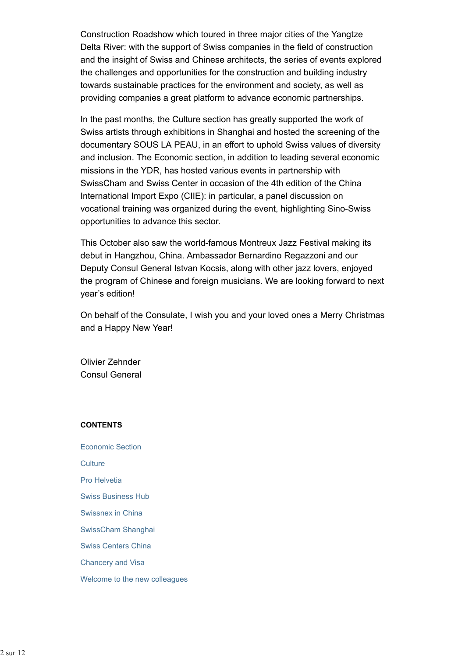Construction Roadshow which toured in three major cities of the Yangtze Delta River: with the support of Swiss companies in the field of construction and the insight of Swiss and Chinese architects, the series of events explored the challenges and opportunities for the construction and building industry towards sustainable practices for the environment and society, as well as providing companies a great platform to advance economic partnerships.

In the past months, the Culture section has greatly supported the work of Swiss artists through exhibitions in Shanghai and hosted the screening of the documentary SOUS LA PEAU, in an effort to uphold Swiss values of diversity and inclusion. The Economic section, in addition to leading several economic missions in the YDR, has hosted various events in partnership with SwissCham and Swiss Center in occasion of the 4th edition of the China International Import Expo (CIIE): in particular, a panel discussion on vocational training was organized during the event, highlighting Sino-Swiss opportunities to advance this sector.

This October also saw the world-famous Montreux Jazz Festival making its debut in Hangzhou, China. Ambassador Bernardino Regazzoni and our Deputy Consul General Istvan Kocsis, along with other jazz lovers, enjoyed the program of Chinese and foreign musicians. We are looking forward to next year's edition!

On behalf of the Consulate, I wish you and your loved ones a Merry Christmas and a Happy New Year!

Olivier Zehnder Consul General

#### **CONTENTS**

Economic Section **Culture** Pro Helvetia Swiss Business Hub Swissnex in China SwissCham Shanghai Swiss Centers China Chancery and Visa Welcome to the new colleagues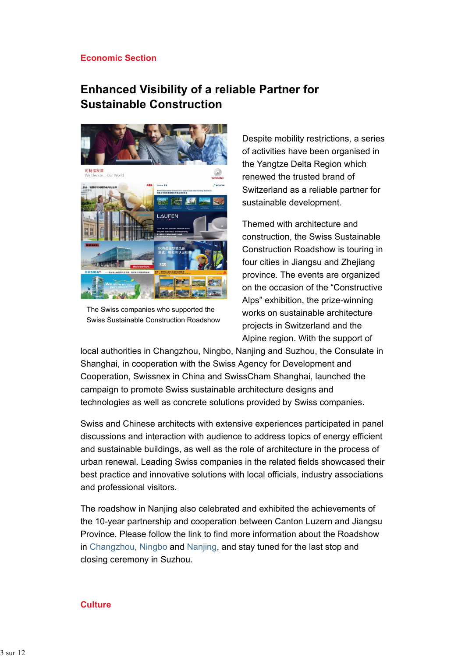#### **Economic Section**

## **Enhanced Visibility of a reliable Partner for Sustainable Construction**



The Swiss companies who supported the Swiss Sustainable Construction Roadshow

Despite mobility restrictions, a series of activities have been organised in the Yangtze Delta Region which renewed the trusted brand of Switzerland as a reliable partner for sustainable development.

Themed with architecture and construction, the Swiss Sustainable Construction Roadshow is touring in four cities in Jiangsu and Zhejiang province. The events are organized on the occasion of the "Constructive Alps" exhibition, the prize-winning works on sustainable architecture projects in Switzerland and the Alpine region. With the support of

local authorities in Changzhou, Ningbo, Nanjing and Suzhou, the Consulate in Shanghai, in cooperation with the Swiss Agency for Development and Cooperation, Swissnex in China and SwissCham Shanghai, launched the campaign to promote Swiss sustainable architecture designs and technologies as well as concrete solutions provided by Swiss companies.

Swiss and Chinese architects with extensive experiences participated in panel discussions and interaction with audience to address topics of energy efficient and sustainable buildings, as well as the role of architecture in the process of urban renewal. Leading Swiss companies in the related fields showcased their best practice and innovative solutions with local officials, industry associations and professional visitors.

The roadshow in Nanjing also celebrated and exhibited the achievements of the 10-year partnership and cooperation between Canton Luzern and Jiangsu Province. Please follow the link to find more information about the Roadshow in Changzhou, Ningbo and Nanjing, and stay tuned for the last stop and closing ceremony in Suzhou.

#### **Culture**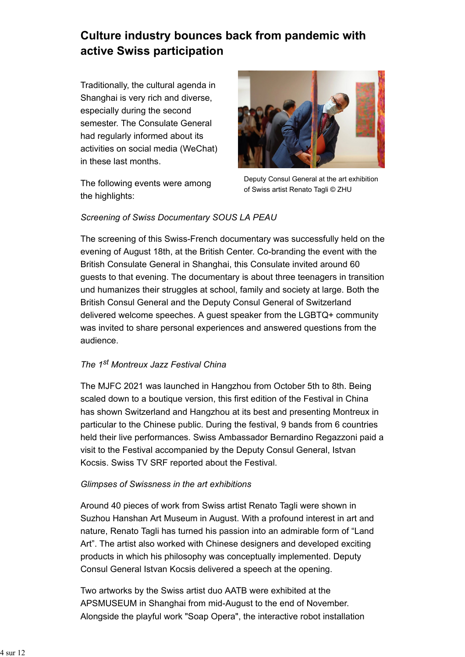# **Culture industry bounces back from pandemic with active Swiss participation**

Traditionally, the cultural agenda in Shanghai is very rich and diverse, especially during the second semester. The Consulate General had regularly informed about its activities on social media (WeChat) in these last months.

The following events were among the highlights:



Deputy Consul General at the art exhibition of Swiss artist Renato Tagli © ZHU

### *Screening of Swiss Documentary SOUS LA PEAU*

The screening of this Swiss-French documentary was successfully held on the evening of August 18th, at the British Center. Co-branding the event with the British Consulate General in Shanghai, this Consulate invited around 60 guests to that evening. The documentary is about three teenagers in transition und humanizes their struggles at school, family and society at large. Both the British Consul General and the Deputy Consul General of Switzerland delivered welcome speeches. A guest speaker from the LGBTQ+ community was invited to share personal experiences and answered questions from the audience.

### *The 1st Montreux Jazz Festival China*

The MJFC 2021 was launched in Hangzhou from October 5th to 8th. Being scaled down to a boutique version, this first edition of the Festival in China has shown Switzerland and Hangzhou at its best and presenting Montreux in particular to the Chinese public. During the festival, 9 bands from 6 countries held their live performances. Swiss Ambassador Bernardino Regazzoni paid a visit to the Festival accompanied by the Deputy Consul General, Istvan Kocsis. Swiss TV SRF reported about the Festival.

### *Glimpses of Swissness in the art exhibitions*

Around 40 pieces of work from Swiss artist Renato Tagli were shown in Suzhou Hanshan Art Museum in August. With a profound interest in art and nature, Renato Tagli has turned his passion into an admirable form of "Land Art". The artist also worked with Chinese designers and developed exciting products in which his philosophy was conceptually implemented. Deputy Consul General Istvan Kocsis delivered a speech at the opening.

Two artworks by the Swiss artist duo AATB were exhibited at the APSMUSEUM in Shanghai from mid-August to the end of November. Alongside the playful work "Soap Opera", the interactive robot installation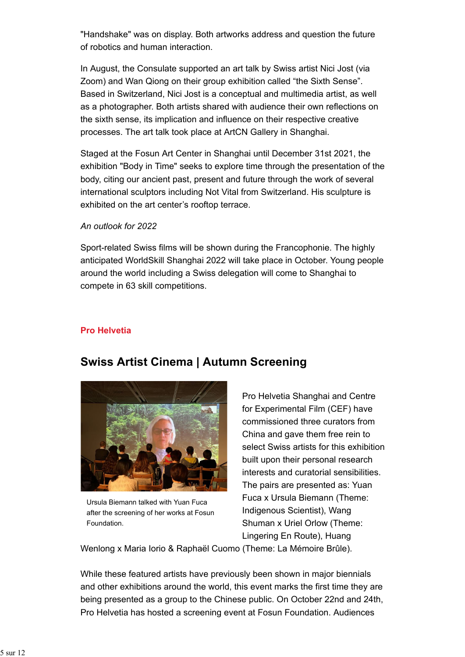"Handshake" was on display. Both artworks address and question the future of robotics and human interaction.

In August, the Consulate supported an art talk by Swiss artist Nici Jost (via Zoom) and Wan Qiong on their group exhibition called "the Sixth Sense". Based in Switzerland, Nici Jost is a conceptual and multimedia artist, as well as a photographer. Both artists shared with audience their own reflections on the sixth sense, its implication and influence on their respective creative processes. The art talk took place at ArtCN Gallery in Shanghai.

Staged at the Fosun Art Center in Shanghai until December 31st 2021, the exhibition "Body in Time" seeks to explore time through the presentation of the body, citing our ancient past, present and future through the work of several international sculptors including Not Vital from Switzerland. His sculpture is exhibited on the art center's rooftop terrace.

#### *An outlook for 2022*

Sport-related Swiss films will be shown during the Francophonie. The highly anticipated WorldSkill Shanghai 2022 will take place in October. Young people around the world including a Swiss delegation will come to Shanghai to compete in 63 skill competitions.

### **Pro Helvetia**



## **Swiss Artist Cinema | Autumn Screening**

Ursula Biemann talked with Yuan Fuca after the screening of her works at Fosun Foundation.

Pro Helvetia Shanghai and Centre for Experimental Film (CEF) have commissioned three curators from China and gave them free rein to select Swiss artists for this exhibition built upon their personal research interests and curatorial sensibilities. The pairs are presented as: Yuan Fuca x Ursula Biemann (Theme: Indigenous Scientist), Wang Shuman x Uriel Orlow (Theme: Lingering En Route), Huang

Wenlong x Maria Iorio & Raphaël Cuomo (Theme: La Mémoire Brûle).

While these featured artists have previously been shown in major biennials and other exhibitions around the world, this event marks the first time they are being presented as a group to the Chinese public. On October 22nd and 24th, Pro Helvetia has hosted a screening event at Fosun Foundation. Audiences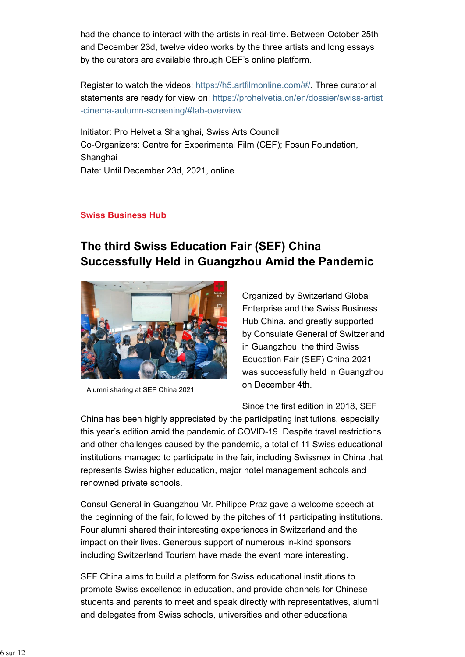had the chance to interact with the artists in real-time. Between October 25th and December 23d, twelve video works by the three artists and long essays by the curators are available through CEF's online platform.

Register to watch the videos: https://h5.artfilmonline.com/#/. Three curatorial statements are ready for view on: https://prohelvetia.cn/en/dossier/swiss-artist -cinema-autumn-screening/#tab-overview

Initiator: Pro Helvetia Shanghai, Swiss Arts Council Co-Organizers: Centre for Experimental Film (CEF); Fosun Foundation, Shanghai Date: Until December 23d, 2021, online

### **Swiss Business Hub**

# **The third Swiss Education Fair (SEF) China Successfully Held in Guangzhou Amid the Pandemic**



Alumni sharing at SEF China 2021

Organized by Switzerland Global Enterprise and the Swiss Business Hub China, and greatly supported by Consulate General of Switzerland in Guangzhou, the third Swiss Education Fair (SEF) China 2021 was successfully held in Guangzhou on December 4th.

Since the first edition in 2018, SEF

China has been highly appreciated by the participating institutions, especially this year's edition amid the pandemic of COVID-19. Despite travel restrictions and other challenges caused by the pandemic, a total of 11 Swiss educational institutions managed to participate in the fair, including Swissnex in China that represents Swiss higher education, major hotel management schools and renowned private schools.

Consul General in Guangzhou Mr. Philippe Praz gave a welcome speech at the beginning of the fair, followed by the pitches of 11 participating institutions. Four alumni shared their interesting experiences in Switzerland and the impact on their lives. Generous support of numerous in-kind sponsors including Switzerland Tourism have made the event more interesting.

SEF China aims to build a platform for Swiss educational institutions to promote Swiss excellence in education, and provide channels for Chinese students and parents to meet and speak directly with representatives, alumni and delegates from Swiss schools, universities and other educational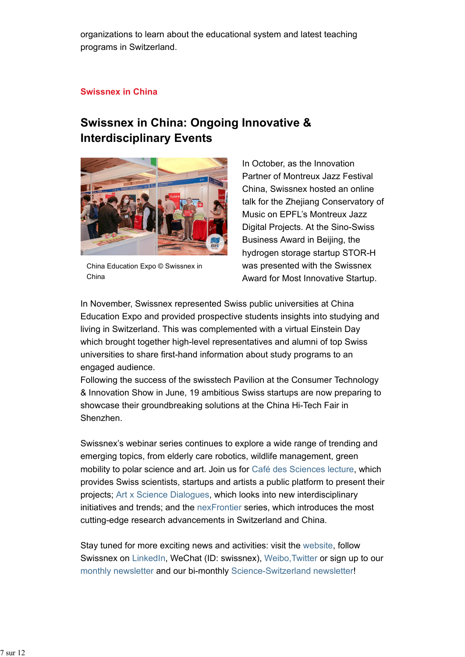organizations to learn about the educational system and latest teaching programs in Switzerland.

### **Swissnex in China**

## **Swissnex in China: Ongoing Innovative & Interdisciplinary Events**



China Education Expo © Swissnex in China

In October, as the Innovation Partner of Montreux Jazz Festival China, Swissnex hosted an online talk for the Zhejiang Conservatory of Music on EPFL's Montreux Jazz Digital Projects. At the Sino-Swiss Business Award in Beijing, the hydrogen storage startup STOR-H was presented with the Swissnex Award for Most Innovative Startup.

In November, Swissnex represented Swiss public universities at China Education Expo and provided prospective students insights into studying and living in Switzerland. This was complemented with a virtual Einstein Day which brought together high-level representatives and alumni of top Swiss universities to share first-hand information about study programs to an engaged audience.

Following the success of the swisstech Pavilion at the Consumer Technology & Innovation Show in June, 19 ambitious Swiss startups are now preparing to showcase their groundbreaking solutions at the China Hi-Tech Fair in Shenzhen.

Swissnex's webinar series continues to explore a wide range of trending and emerging topics, from elderly care robotics, wildlife management, green mobility to polar science and art. Join us for Café des Sciences lecture, which provides Swiss scientists, startups and artists a public platform to present their projects; Art x Science Dialogues, which looks into new interdisciplinary initiatives and trends; and the nexFrontier series, which introduces the most cutting-edge research advancements in Switzerland and China.

Stay tuned for more exciting news and activities: visit the website, follow Swissnex on LinkedIn, WeChat (ID: swissnex), Weibo, Twitter or sign up to our monthly newsletter and our bi-monthly Science-Switzerland newsletter!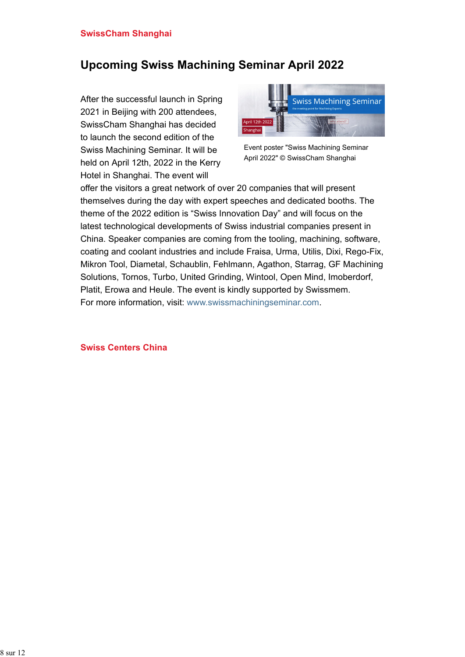# **Upcoming Swiss Machining Seminar April 2022**

After the successful launch in Spring 2021 in Beijing with 200 attendees, SwissCham Shanghai has decided to launch the second edition of the Swiss Machining Seminar. It will be held on April 12th, 2022 in the Kerry Hotel in Shanghai. The event will



Event poster "Swiss Machining Seminar April 2022" © SwissCham Shanghai

offer the visitors a great network of over 20 companies that will present themselves during the day with expert speeches and dedicated booths. The theme of the 2022 edition is "Swiss Innovation Day" and will focus on the latest technological developments of Swiss industrial companies present in China. Speaker companies are coming from the tooling, machining, software, coating and coolant industries and include Fraisa, Urma, Utilis, Dixi, Rego-Fix, Mikron Tool, Diametal, Schaublin, Fehlmann, Agathon, Starrag, GF Machining Solutions, Tornos, Turbo, United Grinding, Wintool, Open Mind, Imoberdorf, Platit, Erowa and Heule. The event is kindly supported by Swissmem. For more information, visit: www.swissmachiningseminar.com.

#### **Swiss Centers China**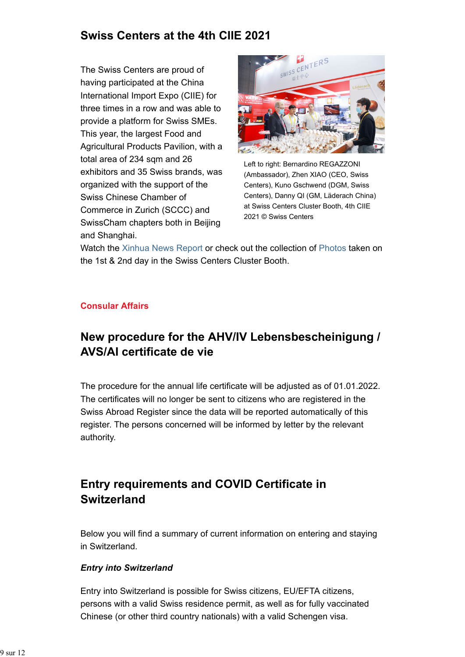## **Swiss Centers at the 4th CIIE 2021**

The Swiss Centers are proud of having participated at the China International Import Expo (CIIE) for three times in a row and was able to provide a platform for Swiss SMEs. This year, the largest Food and Agricultural Products Pavilion, with a total area of 234 sqm and 26 exhibitors and 35 Swiss brands, was organized with the support of the Swiss Chinese Chamber of Commerce in Zurich (SCCC) and SwissCham chapters both in Beijing and Shanghai.



Left to right: Bernardino REGAZZONI (Ambassador), Zhen XIAO (CEO, Swiss Centers), Kuno Gschwend (DGM, Swiss Centers), Danny QI (GM, Läderach China) at Swiss Centers Cluster Booth, 4th CIIE 2021 © Swiss Centers

Watch the Xinhua News Report or check out the collection of Photos taken on the 1st & 2nd day in the Swiss Centers Cluster Booth.

### **Consular Affairs**

# **New procedure for the AHV/IV Lebensbescheinigung / AVS/AI certificate de vie**

The procedure for the annual life certificate will be adjusted as of 01.01.2022. The certificates will no longer be sent to citizens who are registered in the Swiss Abroad Register since the data will be reported automatically of this register. The persons concerned will be informed by letter by the relevant authority.

# **Entry requirements and COVID Certificate in Switzerland**

Below you will find a summary of current information on entering and staying in Switzerland.

### *Entry into Switzerland*

Entry into Switzerland is possible for Swiss citizens, EU/EFTA citizens, persons with a valid Swiss residence permit, as well as for fully vaccinated Chinese (or other third country nationals) with a valid Schengen visa.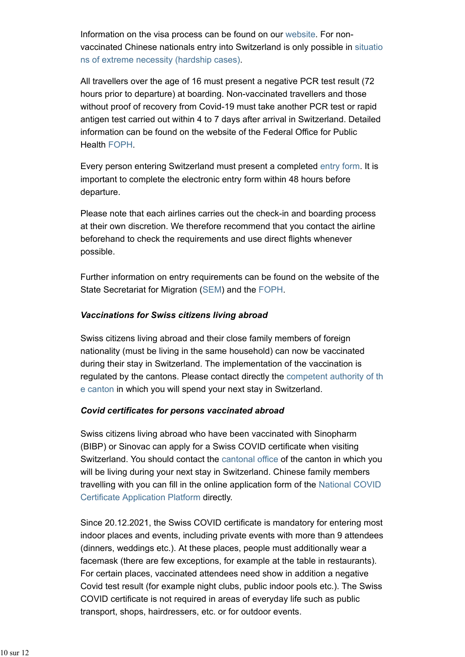Information on the visa process can be found on our website. For nonvaccinated Chinese nationals entry into Switzerland is only possible in situatio ns of extreme necessity (hardship cases).

All travellers over the age of 16 must present a negative PCR test result (72 hours prior to departure) at boarding. Non-vaccinated travellers and those without proof of recovery from Covid-19 must take another PCR test or rapid antigen test carried out within 4 to 7 days after arrival in Switzerland. Detailed information can be found on the website of the Federal Office for Public Health FOPH.

Every person entering Switzerland must present a completed entry form. It is important to complete the electronic entry form within 48 hours before departure.

Please note that each airlines carries out the check-in and boarding process at their own discretion. We therefore recommend that you contact the airline beforehand to check the requirements and use direct flights whenever possible.

Further information on entry requirements can be found on the website of the State Secretariat for Migration (SEM) and the FOPH.

### *Vaccinations for Swiss citizens living abroad*

Swiss citizens living abroad and their close family members of foreign nationality (must be living in the same household) can now be vaccinated during their stay in Switzerland. The implementation of the vaccination is regulated by the cantons. Please contact directly the competent authority of th e canton in which you will spend your next stay in Switzerland.

### *Covid certificates for persons vaccinated abroad*

Swiss citizens living abroad who have been vaccinated with Sinopharm (BIBP) or Sinovac can apply for a Swiss COVID certificate when visiting Switzerland. You should contact the cantonal office of the canton in which you will be living during your next stay in Switzerland. Chinese family members travelling with you can fill in the online application form of the National COVID Certificate Application Platform directly.

Since 20.12.2021, the Swiss COVID certificate is mandatory for entering most indoor places and events, including private events with more than 9 attendees (dinners, weddings etc.). At these places, people must additionally wear a facemask (there are few exceptions, for example at the table in restaurants). For certain places, vaccinated attendees need show in addition a negative Covid test result (for example night clubs, public indoor pools etc.). The Swiss COVID certificate is not required in areas of everyday life such as public transport, shops, hairdressers, etc. or for outdoor events.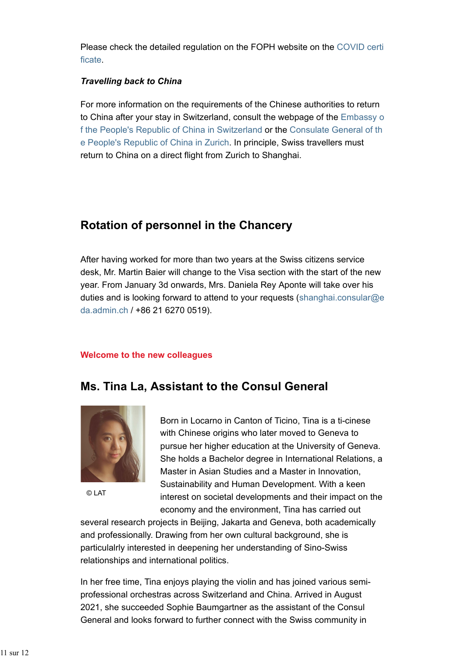Please check the detailed regulation on the FOPH website on the COVID certi ficate.

#### *Travelling back to China*

For more information on the requirements of the Chinese authorities to return to China after your stay in Switzerland, consult the webpage of the Embassy o f the People's Republic of China in Switzerland or the Consulate General of th e People's Republic of China in Zurich. In principle, Swiss travellers must return to China on a direct flight from Zurich to Shanghai.

## **Rotation of personnel in the Chancery**

After having worked for more than two years at the Swiss citizens service desk, Mr. Martin Baier will change to the Visa section with the start of the new year. From January 3d onwards, Mrs. Daniela Rey Aponte will take over his duties and is looking forward to attend to your requests (shanghai.consular@e da.admin.ch / +86 21 6270 0519).

#### **Welcome to the new colleagues**

## **Ms. Tina La, Assistant to the Consul General**



© LAT

Born in Locarno in Canton of Ticino, Tina is a ti-cinese with Chinese origins who later moved to Geneva to pursue her higher education at the University of Geneva. She holds a Bachelor degree in International Relations, a Master in Asian Studies and a Master in Innovation, Sustainability and Human Development. With a keen interest on societal developments and their impact on the economy and the environment, Tina has carried out

several research projects in Beijing, Jakarta and Geneva, both academically and professionally. Drawing from her own cultural background, she is particulalrly interested in deepening her understanding of Sino-Swiss relationships and international politics.

In her free time, Tina enjoys playing the violin and has joined various semiprofessional orchestras across Switzerland and China. Arrived in August 2021, she succeeded Sophie Baumgartner as the assistant of the Consul General and looks forward to further connect with the Swiss community in